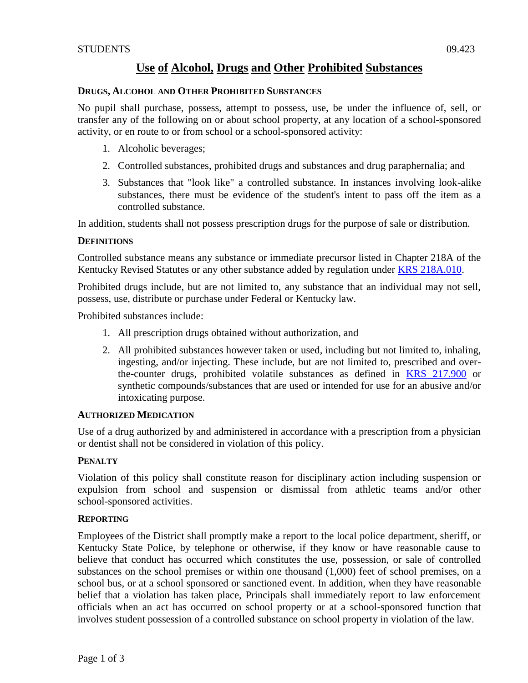# **DRUGS, ALCOHOL AND OTHER PROHIBITED SUBSTANCES**

No pupil shall purchase, possess, attempt to possess, use, be under the influence of, sell, or transfer any of the following on or about school property, at any location of a school-sponsored activity, or en route to or from school or a school-sponsored activity:

- 1. Alcoholic beverages;
- 2. Controlled substances, prohibited drugs and substances and drug paraphernalia; and
- 3. Substances that "look like" a controlled substance. In instances involving look-alike substances, there must be evidence of the student's intent to pass off the item as a controlled substance.

In addition, students shall not possess prescription drugs for the purpose of sale or distribution.

## **DEFINITIONS**

Controlled substance means any substance or immediate precursor listed in Chapter 218A of the Kentucky Revised Statutes or any other substance added by regulation under [KRS 218A.010.](http://policy.ksba.org/DocumentManager.aspx?requestarticle=/KRS/218A00/010.pdf&requesttype=krs)

Prohibited drugs include, but are not limited to, any substance that an individual may not sell, possess, use, distribute or purchase under Federal or Kentucky law.

Prohibited substances include:

- 1. All prescription drugs obtained without authorization, and
- 2. All prohibited substances however taken or used, including but not limited to, inhaling, ingesting, and/or injecting. These include, but are not limited to, prescribed and overthe-counter drugs, prohibited volatile substances as defined in [KRS 217.900](http://policy.ksba.org/DocumentManager.aspx?requestarticle=/KRS/217-00/900.pdf&requesttype=krs) or synthetic compounds/substances that are used or intended for use for an abusive and/or intoxicating purpose.

## **AUTHORIZED MEDICATION**

Use of a drug authorized by and administered in accordance with a prescription from a physician or dentist shall not be considered in violation of this policy.

# **PENALTY**

Violation of this policy shall constitute reason for disciplinary action including suspension or expulsion from school and suspension or dismissal from athletic teams and/or other school-sponsored activities.

## **REPORTING**

Employees of the District shall promptly make a report to the local police department, sheriff, or Kentucky State Police, by telephone or otherwise, if they know or have reasonable cause to believe that conduct has occurred which constitutes the use, possession, or sale of controlled substances on the school premises or within one thousand (1,000) feet of school premises, on a school bus, or at a school sponsored or sanctioned event. In addition, when they have reasonable belief that a violation has taken place, Principals shall immediately report to law enforcement officials when an act has occurred on school property or at a school-sponsored function that involves student possession of a controlled substance on school property in violation of the law.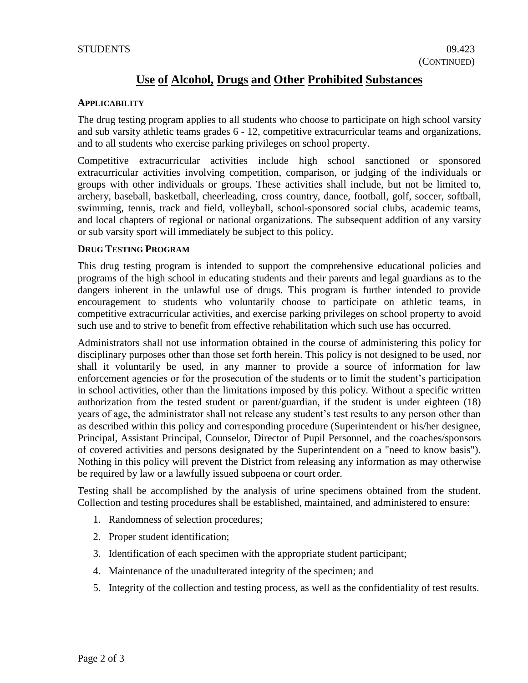# **Use of Alcohol, Drugs and Other Prohibited Substances**

#### **APPLICABILITY**

The drug testing program applies to all students who choose to participate on high school varsity and sub varsity athletic teams grades 6 - 12, competitive extracurricular teams and organizations, and to all students who exercise parking privileges on school property.

Competitive extracurricular activities include high school sanctioned or sponsored extracurricular activities involving competition, comparison, or judging of the individuals or groups with other individuals or groups. These activities shall include, but not be limited to, archery, baseball, basketball, cheerleading, cross country, dance, football, golf, soccer, softball, swimming, tennis, track and field, volleyball, school-sponsored social clubs, academic teams, and local chapters of regional or national organizations. The subsequent addition of any varsity or sub varsity sport will immediately be subject to this policy.

#### **DRUG TESTING PROGRAM**

This drug testing program is intended to support the comprehensive educational policies and programs of the high school in educating students and their parents and legal guardians as to the dangers inherent in the unlawful use of drugs. This program is further intended to provide encouragement to students who voluntarily choose to participate on athletic teams, in competitive extracurricular activities, and exercise parking privileges on school property to avoid such use and to strive to benefit from effective rehabilitation which such use has occurred.

Administrators shall not use information obtained in the course of administering this policy for disciplinary purposes other than those set forth herein. This policy is not designed to be used, nor shall it voluntarily be used, in any manner to provide a source of information for law enforcement agencies or for the prosecution of the students or to limit the student's participation in school activities, other than the limitations imposed by this policy. Without a specific written authorization from the tested student or parent/guardian, if the student is under eighteen (18) years of age, the administrator shall not release any student's test results to any person other than as described within this policy and corresponding procedure (Superintendent or his/her designee, Principal, Assistant Principal, Counselor, Director of Pupil Personnel, and the coaches/sponsors of covered activities and persons designated by the Superintendent on a "need to know basis"). Nothing in this policy will prevent the District from releasing any information as may otherwise be required by law or a lawfully issued subpoena or court order.

Testing shall be accomplished by the analysis of urine specimens obtained from the student. Collection and testing procedures shall be established, maintained, and administered to ensure:

- 1. Randomness of selection procedures;
- 2. Proper student identification;
- 3. Identification of each specimen with the appropriate student participant;
- 4. Maintenance of the unadulterated integrity of the specimen; and
- 5. Integrity of the collection and testing process, as well as the confidentiality of test results.